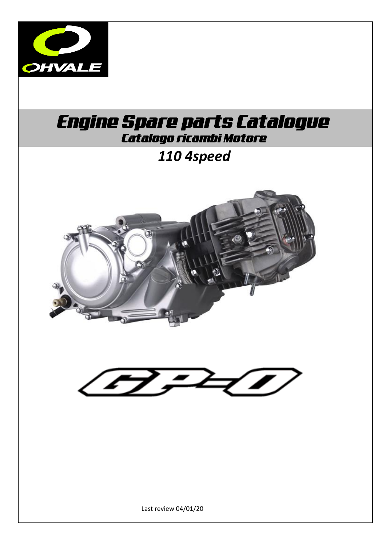

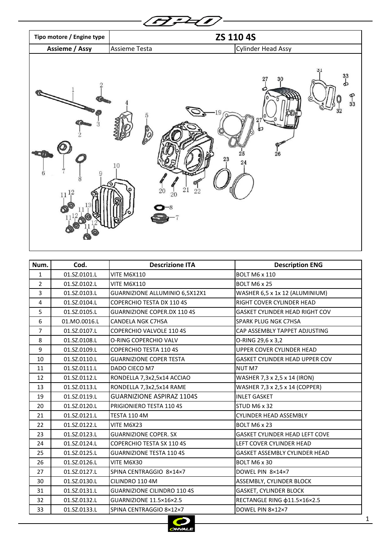

| Num.           | Cod.         | <b>Descrizione ITA</b>             | <b>Description ENG</b>                |
|----------------|--------------|------------------------------------|---------------------------------------|
| $\mathbf{1}$   | 01.SZ.0101.L | <b>VITE M6X110</b>                 | <b>BOLT M6 x 110</b>                  |
| 2              | 01.SZ.0102.L | <b>VITE M6X110</b>                 | <b>BOLT M6 x 25</b>                   |
| 3              | 01.SZ.0103.L | GUARNIZIONE ALLUMINIO 6,5X12X1     | WASHER 6,5 x 1x 12 (ALUMINIUM)        |
| 4              | 01.SZ.0104.L | <b>COPERCHIO TESTA DX 110 4S</b>   | RIGHT COVER CYLINDER HEAD             |
| 5              | 01.SZ.0105.L | <b>GUARNIZIONE COPER.DX 110 4S</b> | <b>GASKET CYLINDER HEAD RIGHT COV</b> |
| 6              | 01.MO.0016.L | <b>CANDELA NGK C7HSA</b>           | SPARK PLUG NGK C7HSA                  |
| $\overline{7}$ | 01.SZ.0107.L | <b>COPERCHIO VALVOLE 110 4S</b>    | CAP ASSEMBLY TAPPET ADJUSTING         |
| 8              | 01.SZ.0108.L | O-RING COPERCHIO VALV              | O-RING 29,6 x 3,2                     |
| 9              | 01.SZ.0109.L | <b>COPERCHIO TESTA 110 4S</b>      | UPPER COVER CYLINDER HEAD             |
| 10             | 01.SZ.0110.L | <b>GUARNIZIONE COPER TESTA</b>     | GASKET CYLINDER HEAD UPPER COV        |
| 11             | 01.SZ.0111.L | DADO CIECO M7                      | <b>NUT M7</b>                         |
| 12             | 01.SZ.0112.L | RONDELLA 7,3x2,5x14 ACCIAO         | WASHER 7,3 x 2,5 x 14 (IRON)          |
| 13             | 01.SZ.0113.L | RONDELLA 7,3x2,5x14 RAME           | WASHER 7,3 x 2,5 x 14 (COPPER)        |
| 19             | 01.SZ.0119.L | <b>GUARNIZIONE ASPIRAZ 1104S</b>   | <b>INLET GASKET</b>                   |
| 20             | 01.SZ.0120.L | PRIGIONIERO TESTA 110 4S           | STUD M6 x 32                          |
| 21             | 01.SZ.0121.L | <b>TESTA 110 4M</b>                | <b>CYLINDER HEAD ASSEMBLY</b>         |
| 22             | 01.SZ.0122.L | VITE M6X23                         | BOLT M6 x 23                          |
| 23             | 01.SZ.0123.L | <b>GUARNIZIONE COPER. SX</b>       | GASKET CYLINDER HEAD LEFT COVE        |
| 24             | 01.SZ.0124.L | <b>COPERCHIO TESTA SX 110 4S</b>   | LEFT COVER CYLINDER HEAD              |
| 25             | 01.SZ.0125.L | <b>GUARNIZIONE TESTA 110 4S</b>    | GASKET ASSEMBLY CYLINDER HEAD         |
| 26             | 01.SZ.0126.L | VITE M6X30                         | BOLT M6 x 30                          |
| 27             | 01.SZ.0127.L | SPINA CENTRAGGIO 8×14×7            | DOWEL PIN 8×14×7                      |
| 30             | 01.SZ.0130.L | CILINDRO 110 4M                    | ASSEMBLY, CYLINDER BLOCK              |
| 31             | 01.SZ.0131.L | <b>GUARNIZIONE CILINDRO 110 4S</b> | <b>GASKET, CYLINDER BLOCK</b>         |
| 32             | 01.SZ.0132.L | GUARNIZIONE 11.5×16×2.5            | RECTANGLE RING \$11.5×16×2.5          |
| 33             | 01.SZ.0133.L | SPINA CENTRAGGIO 8×12×7            | DOWEL PIN 8×12×7                      |

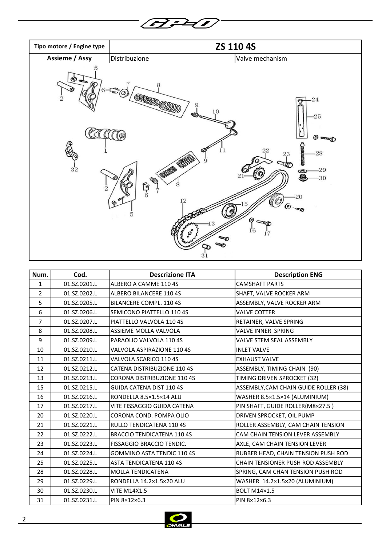



| Num.           | Cod.         | <b>Descrizione ITA</b>             | <b>Description ENG</b>                |
|----------------|--------------|------------------------------------|---------------------------------------|
| $\mathbf{1}$   | 01.SZ.0201.L | ALBERO A CAMME 110 4S              | <b>CAMSHAFT PARTS</b>                 |
| $\overline{2}$ | 01.SZ.0202.L | ALBERO BILANCERE 110 4S            | SHAFT, VALVE ROCKER ARM               |
| 5              | 01.SZ.0205.L | BILANCERE COMPL. 110 4S            | ASSEMBLY, VALVE ROCKER ARM            |
| 6              | 01.SZ.0206.L | SEMICONO PIATTELLO 110 4S          | <b>VALVE COTTER</b>                   |
| $\overline{7}$ | 01.SZ.0207.L | PIATTELLO VALVOLA 110 4S           | RETAINER, VALVE SPRING                |
| 8              | 01.SZ.0208.L | ASSIEME MOLLA VALVOLA              | VALVE INNER SPRING                    |
| 9              | 01.SZ.0209.L | PARAOLIO VALVOLA 110 4S            | VALVE STEM SEAL ASSEMBLY              |
| 10             | 01.SZ.0210.L | VALVOLA ASPIRAZIONE 110 4S         | <b>INLET VALVE</b>                    |
| 11             | 01.SZ.0211.L | VALVOLA SCARICO 110 4S             | <b>EXHAUST VALVE</b>                  |
| 12             | 01.SZ.0212.L | <b>CATENA DISTRIBUZIONE 110 4S</b> | ASSEMBLY, TIMING CHAIN (90)           |
| 13             | 01.SZ.0213.L | CORONA DISTRIBUZIONE 110 4S        | TIMING DRIVEN SPROCKET (32)           |
| 15             | 01.SZ.0215.L | GUIDA CATENA DIST 110 4S           | ASSEMBLY, CAM CHAIN GUIDE ROLLER (38) |
| 16             | 01.SZ.0216.L | RONDELLA 8.5×1.5×14 ALU            | WASHER 8.5×1.5×14 (ALUMINIUM)         |
| 17             | 01.SZ.0217.L | <b>VITE FISSAGGIO GUIDA CATENA</b> | PIN SHAFT, GUIDE ROLLER(M8×27.5)      |
| 20             | 01.SZ.0220.L | CORONA COND. POMPA OLIO            | DRIVEN SPROCKET, OIL PUMP             |
| 21             | 01.SZ.0221.L | <b>RULLO TENDICATENA 110 4S</b>    | ROLLER ASSEMBLY, CAM CHAIN TENSION    |
| 22             | 01.SZ.0222.L | <b>BRACCIO TENDICATENA 110 4S</b>  | CAM CHAIN TENSION LEVER ASSEMBLY      |
| 23             | 01.SZ.0223.L | FISSAGGIO BRACCIO TENDIC.          | AXLE, CAM CHAIN TENSION LEVER         |
| 24             | 01.SZ.0224.L | <b>GOMMINO ASTA TENDIC 110 4S</b>  | RUBBER HEAD, CHAIN TENSION PUSH ROD   |
| 25             | 01.SZ.0225.L | <b>ASTA TENDICATENA 110 4S</b>     | CHAIN TENSIONER PUSH ROD ASSEMBLY     |
| 28             | 01.SZ.0228.L | <b>MOLLA TENDICATENA</b>           | SPRING, CAM CHAN TENSION PUSH ROD     |
| 29             | 01.SZ.0229.L | RONDELLA 14.2×1.5×20 ALU           | WASHER 14.2×1.5×20 (ALUMINIUM)        |
| 30             | 01.SZ.0230.L | <b>VITE M14X1.5</b>                | <b>BOLT M14×1.5</b>                   |
| 31             | 01.SZ.0231.L | PIN 8×12×6.3                       | PIN 8×12×6.3                          |

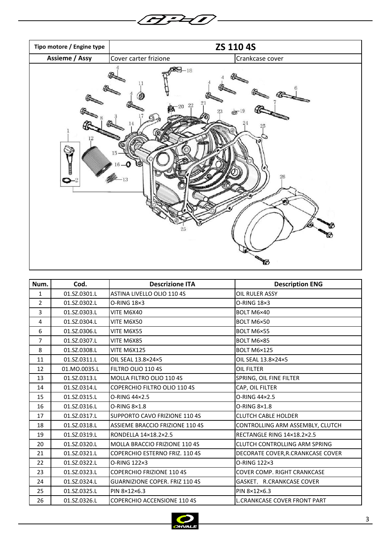



| Num.           | Cod.         | <b>Descrizione ITA</b>                | <b>Description ENG</b>              |
|----------------|--------------|---------------------------------------|-------------------------------------|
| $\mathbf{1}$   | 01.SZ.0301.L | ASTINA LIVELLO OLIO 110 4S            | OIL RULER ASSY                      |
| $\overline{2}$ | 01.SZ.0302.L | O-RING 18×3                           | O-RING 18×3                         |
| $\overline{3}$ | 01.SZ.0303.L | VITE M6X40                            | BOLT M6×40                          |
| 4              | 01.SZ.0304.L | VITE M6X50                            | BOLT M6×50                          |
| 6              | 01.SZ.0306.L | VITE M6X55                            | BOLT M6×55                          |
| $\overline{7}$ | 01.SZ.0307.L | VITE M6X85                            | BOLT M6×85                          |
| 8              | 01.SZ.0308.L | <b>VITE M6X125</b>                    | BOLT M6×125                         |
| 11             | 01.SZ.0311.L | OIL SEAL 13.8×24×5                    | OIL SEAL 13.8×24×5                  |
| 12             | 01.MO.0035.L | FILTRO OLIO 110 4S                    | OIL FILTER                          |
| 13             | 01.SZ.0313.L | MOLLA FILTRO OLIO 110 4S              | SPRING, OIL FINE FILTER             |
| 14             | 01.SZ.0314.L | <b>COPERCHIO FILTRO OLIO 110 4S</b>   | CAP, OIL FILTER                     |
| 15             | 01.SZ.0315.L | O-RING 44×2.5                         | O-RING 44×2.5                       |
| 16             | 01.SZ.0316.L | O-RING 8×1.8                          | O-RING 8×1.8                        |
| 17             | 01.SZ.0317.L | SUPPORTO CAVO FRIZIONE 110 4S         | <b>CLUTCH CABLE HOLDER</b>          |
| 18             | 01.SZ.0318.L | ASSIEME BRACCIO FRIZIONE 110 4S       | CONTROLLING ARM ASSEMBLY, CLUTCH    |
| 19             | 01.SZ.0319.L | RONDELLA 14×18.2×2.5                  | RECTANGLE RING 14×18.2×2.5          |
| 20             | 01.SZ.0320.L | MOLLA BRACCIO FRIZIONE 110 4S         | CLUTCH CONTROLLING ARM SPRING       |
| 21             | 01.SZ.0321.L | COPERCHIO ESTERNO FRIZ. 110 4S        | DECORATE COVER, R. CRANKCASE COVER  |
| 22             | 01.SZ.0322.L | O-RING 122×3                          | O-RING 122×3                        |
| 23             | 01.SZ.0323.L | <b>COPERCHIO FRIZIONE 110 4S</b>      | COVER COMP. RIGHT CRANKCASE         |
| 24             | 01.SZ.0324.L | <b>GUARNIZIONE COPER. FRIZ 110 4S</b> | GASKET, R.CRANKCASE COVER           |
| 25             | 01.SZ.0325.L | PIN 8×12×6.3                          | PIN 8×12×6.3                        |
| 26             | 01.SZ.0326.L | <b>COPERCHIO ACCENSIONE 110 4S</b>    | <b>L.CRANKCASE COVER FRONT PART</b> |

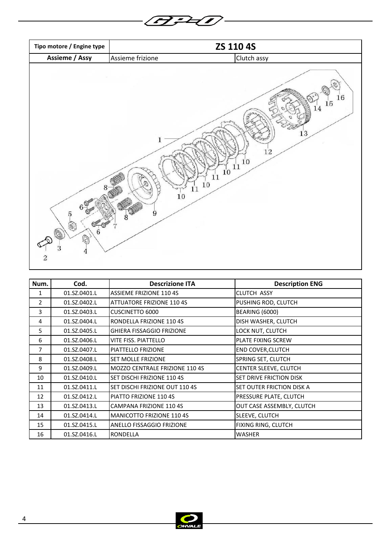

| Num. | Cod.         | <b>Descrizione ITA</b>                | <b>Description ENG</b>         |
|------|--------------|---------------------------------------|--------------------------------|
| 1    | 01.SZ.0401.L | ASSIEME FRIZIONE 110 4S               | <b>CLUTCH ASSY</b>             |
| 2    | 01.SZ.0402.L | <b>ATTUATORE FRIZIONE 110 4S</b>      | PUSHING ROD, CLUTCH            |
| 3    | 01.SZ.0403.L | <b>CUSCINETTO 6000</b>                | <b>BEARING (6000)</b>          |
| 4    | 01.SZ.0404.L | RONDELLA FRIZIONE 110 4S              | DISH WASHER, CLUTCH            |
| 5    | 01.SZ.0405.L | <b>GHIERA FISSAGGIO FRIZIONE</b>      | LOCK NUT, CLUTCH               |
| 6    | 01.SZ.0406.L | VITE FISS. PIATTELLO                  | <b>PLATE FIXING SCREW</b>      |
| 7    | 01.SZ.0407.L | PIATTELLO FRIZIONE                    | <b>END COVER, CLUTCH</b>       |
| 8    | 01.SZ.0408.L | <b>SET MOLLE FRIZIONE</b>             | SPRING SET, CLUTCH             |
| 9    | 01.SZ.0409.L | <b>MOZZO CENTRALE FRIZIONE 110 4S</b> | CENTER SLEEVE, CLUTCH          |
| 10   | 01.SZ.0410.L | SET DISCHI FRIZIONE 110 4S            | <b>SET DRIVE FRICTION DISK</b> |
| 11   | 01.SZ.0411.L | SET DISCHI FRIZIONE OUT 110 4S        | SET OUTER FRICTION DISK A      |
| 12   | 01.SZ.0412.L | PIATTO FRIZIONE 110 4S                | PRESSURE PLATE, CLUTCH         |
| 13   | 01.SZ.0413.L | <b>CAMPANA FRIZIONE 110 4S</b>        | OUT CASE ASSEMBLY, CLUTCH      |
| 14   | 01.SZ.0414.L | <b>MANICOTTO FRIZIONE 110 4S</b>      | SLEEVE, CLUTCH                 |
| 15   | 01.SZ.0415.L | ANELLO FISSAGGIO FRIZIONE             | FIXING RING, CLUTCH            |
| 16   | 01.SZ.0416.L | <b>RONDELLA</b>                       | <b>WASHER</b>                  |

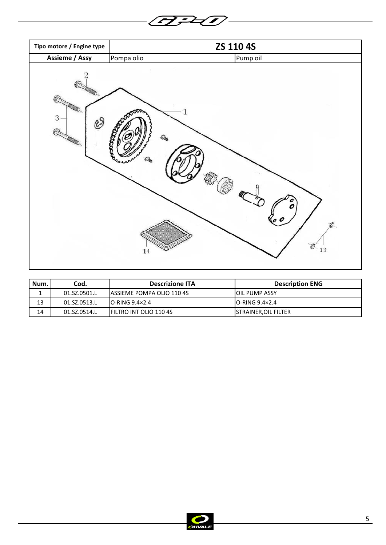

 $\overline{\phantom{0}}$ 

| Num. | Cod.         | <b>Descrizione ITA</b>            | <b>Description ENG</b>   |
|------|--------------|-----------------------------------|--------------------------|
|      | 01.SZ.0501.L | <b>IASSIEME POMPA OLIO 110 4S</b> | IOIL PUMP ASSY           |
| 13   | 01.SZ.0513.L | $IO-RING 9.4 \times 2.4$          | $IO-RING 9.4 \times 2.4$ |
| 14   | 01.SZ.0514.L | <b>IFILTRO INT OLIO 110 4S</b>    | STRAINER,OIL FILTER      |

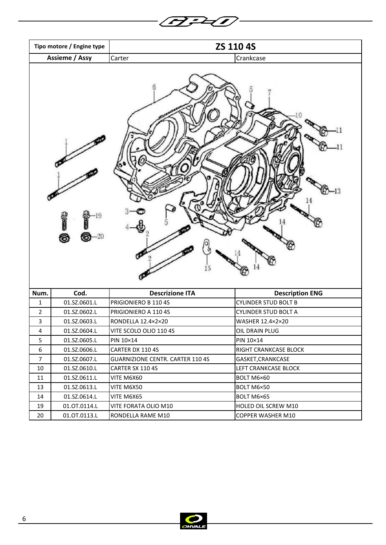|                         | ZS 110 4S<br>Tipo motore / Engine type |                                         |                             |
|-------------------------|----------------------------------------|-----------------------------------------|-----------------------------|
|                         | <b>Assieme / Assy</b>                  | Carter                                  | Crankcase                   |
| (61.111<br>◎<br>20<br>⊙ |                                        | -13                                     |                             |
| Num.                    | Cod.                                   | <b>Descrizione ITA</b>                  | <b>Description ENG</b>      |
| $\mathbf{1}$            | 01.SZ.0601.L                           | PRIGIONIERO B 110 4S                    | <b>CYLINDER STUD BOLT B</b> |
| $\overline{2}$          | 01.SZ.0602.L                           | PRIGIONIERO A 110 4S                    | <b>CYLINDER STUD BOLT A</b> |
| $\mathbf{3}$            | 01.SZ.0603.L                           | RONDELLA 12.4×2×20                      | WASHER 12.4×2×20            |
| $\overline{a}$          | 01.SZ.0604.L                           | VITE SCOLO OLIO 110 4S                  | OIL DRAIN PLUG              |
| 5                       | 01.SZ.0605.L                           | PIN 10×14                               | PIN 10×14                   |
| 6                       | 01.SZ.0606.L                           | CARTER DX 110 4S                        | RIGHT CRANKCASE BLOCK       |
| $\overline{7}$          | 01.SZ.0607.L                           | <b>GUARNIZIONE CENTR. CARTER 110 4S</b> | GASKET, CRANKCASE           |
| 10                      | 01.SZ.0610.L                           | CARTER SX 110 4S                        | LEFT CRANKCASE BLOCK        |
| 11                      | 01.SZ.0611.L                           | VITE M6X60                              | BOLT M6×60                  |
| 13                      | 01.SZ.0613.L                           | VITE M6X50                              | BOLT M6×50                  |
| 14                      | 01.SZ.0614.L                           | VITE M6X65                              | BOLT M6×65                  |
| 19                      | 01.0T.0114.L                           | VITE FORATA OLIO M10                    | HOLED OIL SCREW M10         |
| 20                      | 01.0T.0113.L                           | RONDELLA RAME M10                       | COPPER WASHER M10           |
|                         |                                        |                                         |                             |

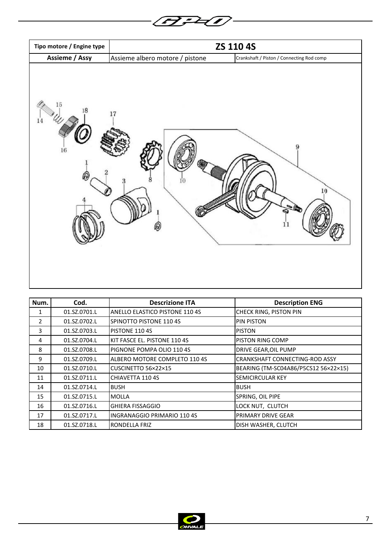| Tipo motore / Engine type |                                 | ZS 110 4S                                 |
|---------------------------|---------------------------------|-------------------------------------------|
| Assieme / Assy            | Assieme albero motore / pistone | Crankshaft / Piston / Connecting Rod comp |
| 15<br>18<br>14<br>$16\,$  | $17\,$                          | 10<br>11                                  |

F <del>2</del>D —

 $\overline{\mathbf{C}}$  $\sim$ 

| Num.          | Cod.         | <b>Descrizione ITA</b>                | <b>Description ENG</b>                |
|---------------|--------------|---------------------------------------|---------------------------------------|
| 1             | 01.SZ.0701.L | <b>ANELLO ELASTICO PISTONE 110 4S</b> | CHECK RING, PISTON PIN                |
| $\mathcal{P}$ | 01.SZ.0702.L | SPINOTTO PISTONE 110 4S               | <b>PIN PISTON</b>                     |
| 3             | 01.SZ.0703.L | PISTONE 110 4S                        | <b>PISTON</b>                         |
| 4             | 01.SZ.0704.L | KIT FASCE EL. PISTONE 110 4S          | PISTON RING COMP                      |
| 8             | 01.SZ.0708.L | PIGNONE POMPA OLIO 110 4S             | DRIVE GEAR, OIL PUMP                  |
| 9             | 01.SZ.0709.L | ALBERO MOTORE COMPLETO 110 4S         | <b>CRANKSHAFT CONNECTING-ROD ASSY</b> |
| 10            | 01.SZ.0710.L | CUSCINETTO 56×22×15                   | BEARING (TM-SC04A86/P5CS12 56×22×15)  |
| 11            | 01.SZ.0711.L | CHIAVETTA 110 4S                      | <b>SEMICIRCULAR KEY</b>               |
| 14            | 01.SZ.0714.L | <b>BUSH</b>                           | <b>BUSH</b>                           |
| 15            | 01.SZ.0715.L | <b>MOLLA</b>                          | SPRING, OIL PIPE                      |
| 16            | 01.SZ.0716.L | <b>GHIERA FISSAGGIO</b>               | LOCK NUT, CLUTCH                      |
| 17            | 01.SZ.0717.L | INGRANAGGIO PRIMARIO 110 4S           | PRIMARY DRIVE GEAR                    |
| 18            | 01.SZ.0718.L | RONDELLA FRIZ                         | DISH WASHER, CLUTCH                   |

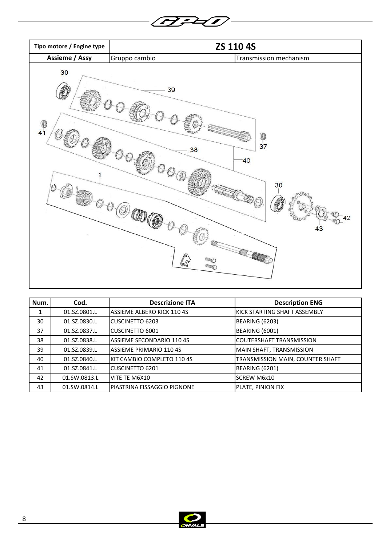

| Num. | Cod.         | <b>Descrizione ITA</b>         | <b>Description ENG</b>               |
|------|--------------|--------------------------------|--------------------------------------|
| 1    | 01.SZ.0801.L | ASSIEME ALBERO KICK 110 4S     | <b>IKICK STARTING SHAFT ASSEMBLY</b> |
| 30   | 01.SZ.0830.L | CUSCINETTO 6203                | <b>BEARING (6203)</b>                |
| 37   | 01.SZ.0837.L | <b>CUSCINETTO 6001</b>         | <b>BEARING (6001)</b>                |
| 38   | 01.SZ.0838.L | ASSIEME SECONDARIO 110 4S      | COUTERSHAFT TRANSMISSION             |
| 39   | 01.SZ.0839.L | <b>ASSIEME PRIMARIO 110 4S</b> | MAIN SHAFT, TRANSMISSION             |
| 40   | 01.SZ.0840.L | KIT CAMBIO COMPLETO 110 4S     | TRANSMISSION MAIN, COUNTER SHAFT     |
| 41   | 01.SZ.0841.L | <b>CUSCINETTO 6201</b>         | <b>BEARING (6201)</b>                |
| 42   | 01.SW.0813.L | VITE TE M6X10                  | <b>SCREW M6x10</b>                   |
| 43   | 01.SW.0814.L | PIASTRINA FISSAGGIO PIGNONE    | PLATE, PINION FIX                    |

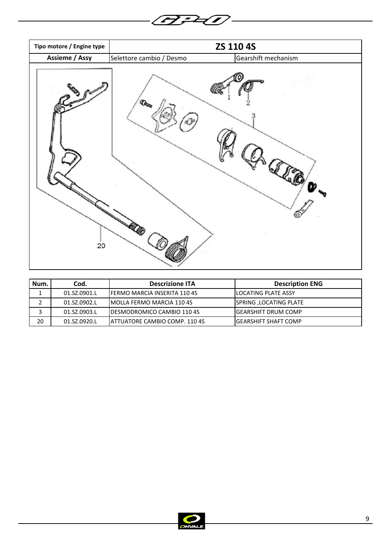

▰

| Num. | Cod.         | <b>Descrizione ITA</b>                | <b>Description ENG</b> |
|------|--------------|---------------------------------------|------------------------|
|      | 01.SZ.0901.L | <b>IFERMO MARCIA INSERITA 110 4S</b>  | ILOCATING PLATE ASSY   |
|      | 01.SZ.0902.L | <b>IMOLLA FERMO MARCIA 110 4S</b>     | SPRING ,LOCATING PLATE |
|      | 01.SZ.0903.L | <b>IDESMODROMICO CAMBIO 110 4S</b>    | IGEARSHIFT DRUM COMP   |
| 20   | 01.SZ.0920.L | <b>IATTUATORE CAMBIO COMP. 110 4S</b> | IGEARSHIFT SHAFT COMP  |

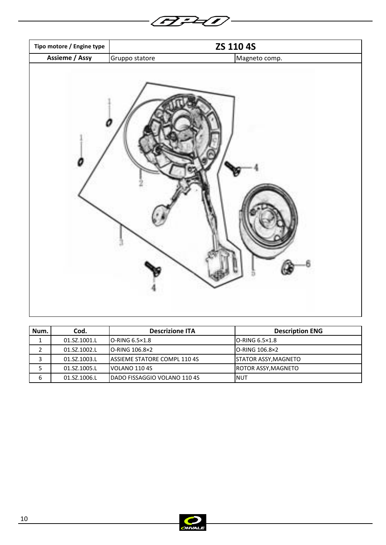| Tipo motore / Engine type |                | ZS 110 4S     |
|---------------------------|----------------|---------------|
| <b>Assieme / Assy</b>     | Gruppo statore | Magneto comp. |
|                           |                |               |

**BPD** 

| Num. | Cod.         | <b>Descrizione ITA</b>               | <b>Description ENG</b>      |
|------|--------------|--------------------------------------|-----------------------------|
|      | 01.SZ.1001.L | $IO-RING 6.5 \times 1.8$             | IO-RING 6.5×1.8             |
|      | 01.SZ.1002.L | $IO-RING 106.8x2$                    | <b>IO-RING 106.8×2</b>      |
|      | 01.SZ.1003.L | <b>IASSIEME STATORE COMPL 110 4S</b> | <b>STATOR ASSY, MAGNETO</b> |
|      | 01.SZ.1005.L | IVOLANO 110 4S                       | ROTOR ASSY,MAGNETO          |
| 6    | 01.SZ.1006.L | <b>IDADO FISSAGGIO VOLANO 110 4S</b> | <b>INUT</b>                 |